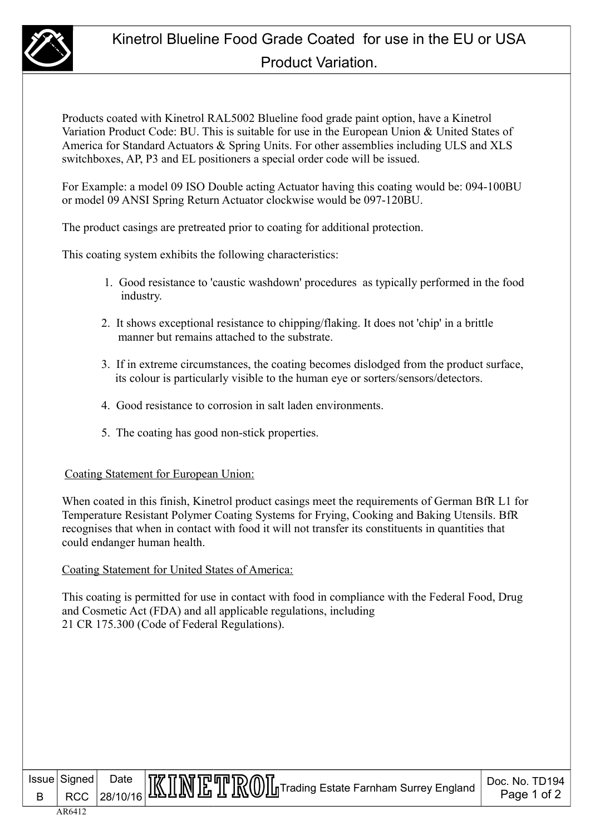

Products coated with Kinetrol RAL5002 Blueline food grade paint option, have a Kinetrol Variation Product Code: BU. This is suitable for use in the European Union & United States of America for Standard Actuators & Spring Units. For other assemblies including ULS and XLS switchboxes, AP, P3 and EL positioners a special order code will be issued.

For Example: a model 09 ISO Double acting Actuator having this coating would be: 094-100BU or model 09 ANSI Spring Return Actuator clockwise would be 097-120BU.

The product casings are pretreated prior to coating for additional protection.

This coating system exhibits the following characteristics:

- 1. Good resistance to 'caustic washdown' procedures as typically performed in the food industry.
- 2. It shows exceptional resistance to chipping/flaking. It does not 'chip' in a brittle manner but remains attached to the substrate.
- 3. If in extreme circumstances, the coating becomes dislodged from the product surface, its colour is particularly visible to the human eye or sorters/sensors/detectors.
- 4. Good resistance to corrosion in salt laden environments.
- 5. The coating has good non-stick properties.

## Coating Statement for European Union:

When coated in this finish, Kinetrol product casings meet the requirements of German BfR L1 for Temperature Resistant Polymer Coating Systems for Frying, Cooking and Baking Utensils. BfR recognises that when in contact with food it will not transfer its constituents in quantities that could endanger human health.

Coating Statement for United States of America:

This coating is permitted for use in contact with food in compliance with the Federal Food, Drug and Cosmetic Act (FDA) and all applicable regulations, including 21 CR 175.300 (Code of Federal Regulations).

B